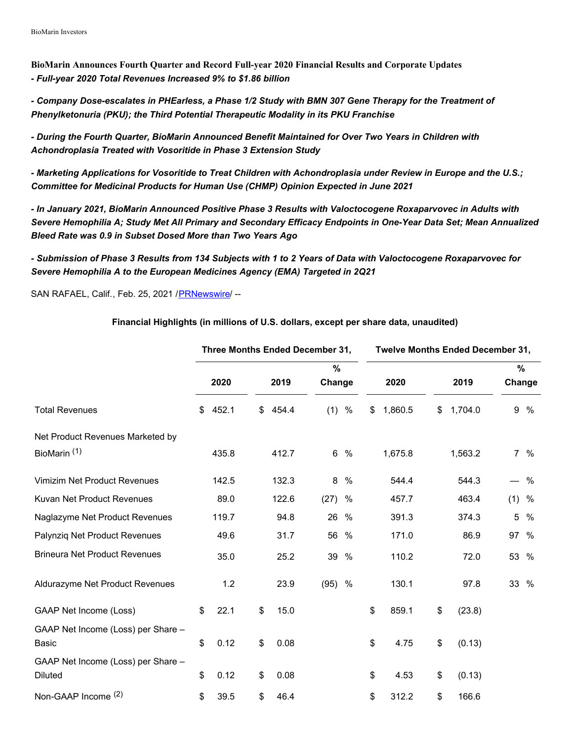**BioMarin Announces Fourth Quarter and Record Full-year 2020 Financial Results and Corporate Updates** *- Full-year 2020 Total Revenues Increased 9% to \$1.86 billion*

- Company Dose-escalates in PHEarless, a Phase 1/2 Study with BMN 307 Gene Therapy for the Treatment of *Phenylketonuria (PKU); the Third Potential Therapeutic Modality in its PKU Franchise*

*- During the Fourth Quarter, BioMarin Announced Benefit Maintained for Over Two Years in Children with Achondroplasia Treated with Vosoritide in Phase 3 Extension Study*

- Marketing Applications for Vosoritide to Treat Children with Achondroplasia under Review in Europe and the U.S.; *Committee for Medicinal Products for Human Use (CHMP) Opinion Expected in June 2021*

*- In January 2021, BioMarin Announced Positive Phase 3 Results with Valoctocogene Roxaparvovec in Adults with* Severe Hemophilia A; Study Met All Primary and Secondary Efficacy Endpoints in One-Year Data Set; Mean Annualized *Bleed Rate was 0.9 in Subset Dosed More than Two Years Ago*

- Submission of Phase 3 Results from 134 Subjects with 1 to 2 Years of Data with Valoctocogene Roxaparvovec for *Severe Hemophilia A to the European Medicines Agency (EMA) Targeted in 2Q21*

SAN RAFAEL, Calif., Feb. 25, 2021 / [PRNewswire](http://www.prnewswire.com/)/ --

## **Financial Highlights (in millions of U.S. dollars, except per share data, unaudited)**

|                                                      | Three Months Ended December 31, |       |                |       |                         |               | Twelve Months Ended December 31, |         |    |         |                |        |
|------------------------------------------------------|---------------------------------|-------|----------------|-------|-------------------------|---------------|----------------------------------|---------|----|---------|----------------|--------|
|                                                      |                                 | 2020  |                | 2019  | $\frac{0}{0}$<br>Change |               |                                  | 2020    |    | 2019    | $\frac{0}{0}$  | Change |
| <b>Total Revenues</b>                                | \$                              | 452.1 | $\mathfrak{S}$ | 454.4 | $(1)$ %                 |               | \$                               | 1,860.5 | \$ | 1,704.0 | 9              | $\%$   |
| Net Product Revenues Marketed by                     |                                 |       |                |       |                         |               |                                  |         |    |         |                |        |
| BioMarin <sup>(1)</sup>                              |                                 | 435.8 |                | 412.7 |                         | 6 %           |                                  | 1,675.8 |    | 1,563.2 |                | $7\%$  |
| Vimizim Net Product Revenues                         |                                 | 142.5 |                | 132.3 | 8                       | $\%$          |                                  | 544.4   |    | 544.3   |                | $\%$   |
| Kuvan Net Product Revenues                           |                                 | 89.0  |                | 122.6 | (27)                    | $\%$          |                                  | 457.7   |    | 463.4   | $(1)$ %        |        |
| Naglazyme Net Product Revenues                       |                                 | 119.7 |                | 94.8  | 26                      | $\frac{0}{0}$ |                                  | 391.3   |    | 374.3   | 5 <sup>5</sup> | $\%$   |
| Palynziq Net Product Revenues                        |                                 | 49.6  |                | 31.7  | 56                      | %             |                                  | 171.0   |    | 86.9    |                | 97 %   |
| <b>Brineura Net Product Revenues</b>                 |                                 | 35.0  |                | 25.2  | 39 %                    |               |                                  | 110.2   |    | 72.0    |                | 53 %   |
| Aldurazyme Net Product Revenues                      |                                 | 1.2   |                | 23.9  | $(95)$ %                |               |                                  | 130.1   |    | 97.8    |                | 33 %   |
| <b>GAAP Net Income (Loss)</b>                        | \$                              | 22.1  | \$             | 15.0  |                         |               | \$                               | 859.1   | \$ | (23.8)  |                |        |
| GAAP Net Income (Loss) per Share -<br><b>Basic</b>   | \$                              | 0.12  | \$             | 0.08  |                         |               | \$                               | 4.75    | \$ | (0.13)  |                |        |
| GAAP Net Income (Loss) per Share -<br><b>Diluted</b> | \$                              | 0.12  | \$             | 0.08  |                         |               | \$                               | 4.53    | \$ | (0.13)  |                |        |
| Non-GAAP Income (2)                                  | \$                              | 39.5  | \$             | 46.4  |                         |               | \$                               | 312.2   | \$ | 166.6   |                |        |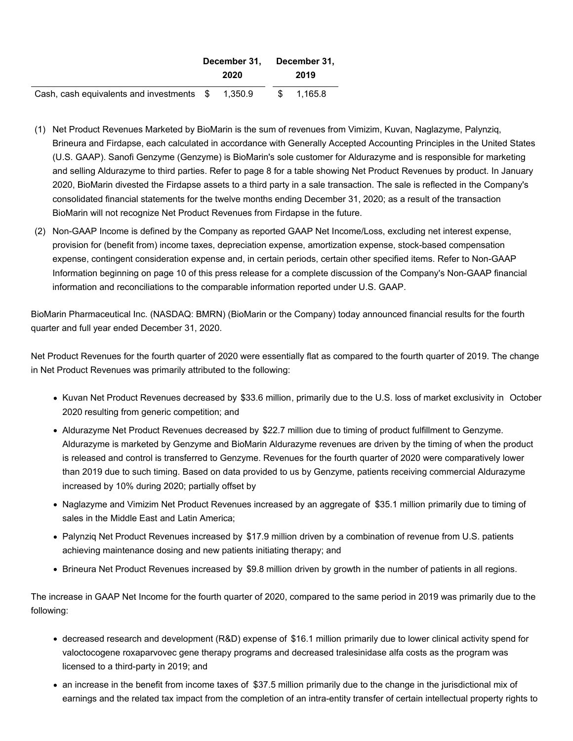|                                           | December 31. | December 31.  |
|-------------------------------------------|--------------|---------------|
|                                           | 2020         | 2019          |
| Cash, cash equivalents and investments \$ | 1.350.9      | 1.165.8<br>S. |

- (1) Net Product Revenues Marketed by BioMarin is the sum of revenues from Vimizim, Kuvan, Naglazyme, Palynziq, Brineura and Firdapse, each calculated in accordance with Generally Accepted Accounting Principles in the United States (U.S. GAAP). Sanofi Genzyme (Genzyme) is BioMarin's sole customer for Aldurazyme and is responsible for marketing and selling Aldurazyme to third parties. Refer to page 8 for a table showing Net Product Revenues by product. In January 2020, BioMarin divested the Firdapse assets to a third party in a sale transaction. The sale is reflected in the Company's consolidated financial statements for the twelve months ending December 31, 2020; as a result of the transaction BioMarin will not recognize Net Product Revenues from Firdapse in the future.
- (2) Non-GAAP Income is defined by the Company as reported GAAP Net Income/Loss, excluding net interest expense, provision for (benefit from) income taxes, depreciation expense, amortization expense, stock-based compensation expense, contingent consideration expense and, in certain periods, certain other specified items. Refer to Non-GAAP Information beginning on page 10 of this press release for a complete discussion of the Company's Non-GAAP financial information and reconciliations to the comparable information reported under U.S. GAAP.

BioMarin Pharmaceutical Inc. (NASDAQ: BMRN) (BioMarin or the Company) today announced financial results for the fourth quarter and full year ended December 31, 2020.

Net Product Revenues for the fourth quarter of 2020 were essentially flat as compared to the fourth quarter of 2019. The change in Net Product Revenues was primarily attributed to the following:

- Kuvan Net Product Revenues decreased by \$33.6 million, primarily due to the U.S. loss of market exclusivity in October 2020 resulting from generic competition; and
- Aldurazyme Net Product Revenues decreased by \$22.7 million due to timing of product fulfillment to Genzyme. Aldurazyme is marketed by Genzyme and BioMarin Aldurazyme revenues are driven by the timing of when the product is released and control is transferred to Genzyme. Revenues for the fourth quarter of 2020 were comparatively lower than 2019 due to such timing. Based on data provided to us by Genzyme, patients receiving commercial Aldurazyme increased by 10% during 2020; partially offset by
- Naglazyme and Vimizim Net Product Revenues increased by an aggregate of \$35.1 million primarily due to timing of sales in the Middle East and Latin America;
- Palynziq Net Product Revenues increased by \$17.9 million driven by a combination of revenue from U.S. patients achieving maintenance dosing and new patients initiating therapy; and
- Brineura Net Product Revenues increased by \$9.8 million driven by growth in the number of patients in all regions.

The increase in GAAP Net Income for the fourth quarter of 2020, compared to the same period in 2019 was primarily due to the following:

- decreased research and development (R&D) expense of \$16.1 million primarily due to lower clinical activity spend for valoctocogene roxaparvovec gene therapy programs and decreased tralesinidase alfa costs as the program was licensed to a third-party in 2019; and
- an increase in the benefit from income taxes of \$37.5 million primarily due to the change in the jurisdictional mix of earnings and the related tax impact from the completion of an intra-entity transfer of certain intellectual property rights to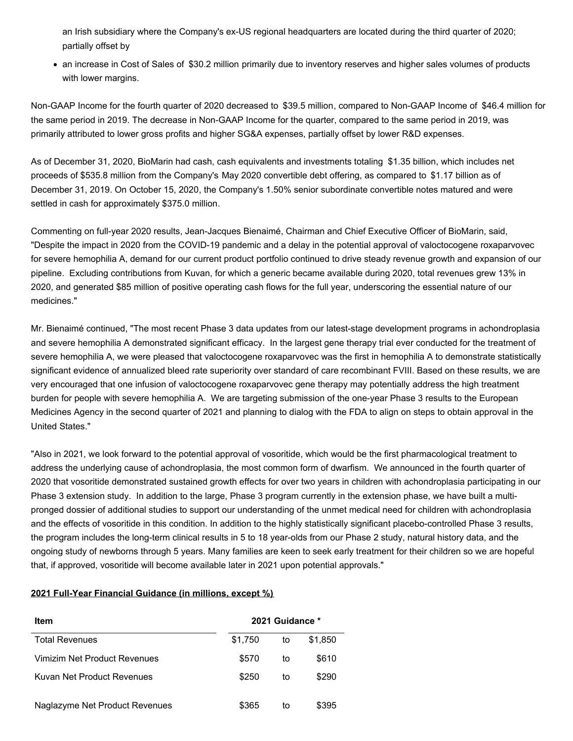an Irish subsidiary where the Company's ex-US regional headquarters are located during the third quarter of 2020; partially offset by

• an increase in Cost of Sales of \$30.2 million primarily due to inventory reserves and higher sales volumes of products with lower margins.

Non-GAAP Income for the fourth quarter of 2020 decreased to \$39.5 million, compared to Non-GAAP Income of \$46.4 million for the same period in 2019. The decrease in Non-GAAP Income for the quarter, compared to the same period in 2019, was primarily attributed to lower gross profits and higher SG&A expenses, partially offset by lower R&D expenses.

As of December 31, 2020, BioMarin had cash, cash equivalents and investments totaling \$1.35 billion, which includes net proceeds of \$535.8 million from the Company's May 2020 convertible debt offering, as compared to \$1.17 billion as of December 31, 2019. On October 15, 2020, the Company's 1.50% senior subordinate convertible notes matured and were settled in cash for approximately \$375.0 million.

Commenting on full-year 2020 results, Jean-Jacques Bienaimé, Chairman and Chief Executive Officer of BioMarin, said, "Despite the impact in 2020 from the COVID-19 pandemic and a delay in the potential approval of valoctocogene roxaparvovec for severe hemophilia A, demand for our current product portfolio continued to drive steady revenue growth and expansion of our pipeline. Excluding contributions from Kuvan, for which a generic became available during 2020, total revenues grew 13% in 2020, and generated \$85 million of positive operating cash flows for the full year, underscoring the essential nature of our medicines."

Mr. Bienaimé continued, "The most recent Phase 3 data updates from our latest-stage development programs in achondroplasia and severe hemophilia A demonstrated significant efficacy. In the largest gene therapy trial ever conducted for the treatment of severe hemophilia A, we were pleased that valoctocogene roxaparvovec was the first in hemophilia A to demonstrate statistically significant evidence of annualized bleed rate superiority over standard of care recombinant FVIII. Based on these results, we are very encouraged that one infusion of valoctocogene roxaparvovec gene therapy may potentially address the high treatment burden for people with severe hemophilia A. We are targeting submission of the one-year Phase 3 results to the European Medicines Agency in the second quarter of 2021 and planning to dialog with the FDA to align on steps to obtain approval in the United States."

"Also in 2021, we look forward to the potential approval of vosoritide, which would be the first pharmacological treatment to address the underlying cause of achondroplasia, the most common form of dwarfism. We announced in the fourth quarter of 2020 that vosoritide demonstrated sustained growth effects for over two years in children with achondroplasia participating in our Phase 3 extension study. In addition to the large, Phase 3 program currently in the extension phase, we have built a multipronged dossier of additional studies to support our understanding of the unmet medical need for children with achondroplasia and the effects of vosoritide in this condition. In addition to the highly statistically significant placebo-controlled Phase 3 results, the program includes the long-term clinical results in 5 to 18 year-olds from our Phase 2 study, natural history data, and the ongoing study of newborns through 5 years. Many families are keen to seek early treatment for their children so we are hopeful that, if approved, vosoritide will become available later in 2021 upon potential approvals."

## **2021 Full-Year Financial Guidance (in millions, except %)**

| Item                           |         | 2021 Guidance * |         |
|--------------------------------|---------|-----------------|---------|
| <b>Total Revenues</b>          | \$1,750 | to              | \$1,850 |
| Vimizim Net Product Revenues   | \$570   | to              | \$610   |
| Kuvan Net Product Revenues     | \$250   | to              | \$290   |
| Naglazyme Net Product Revenues | \$365   | to              | \$395   |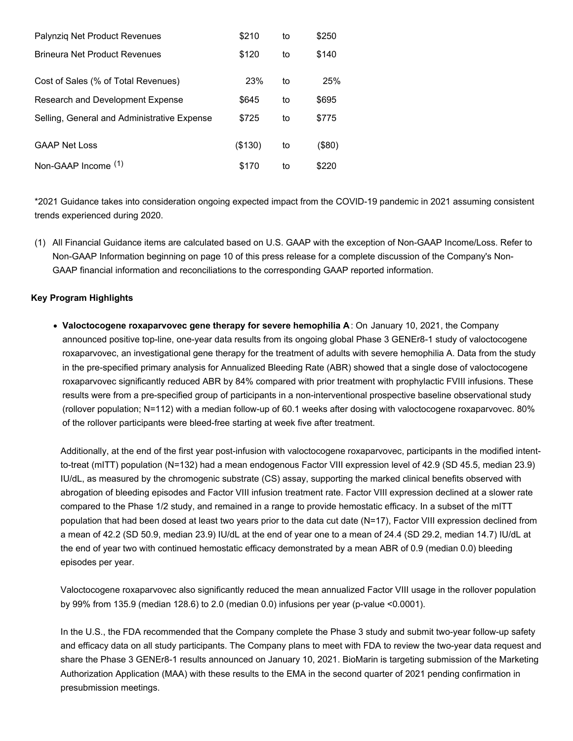| Palynzig Net Product Revenues               | \$210   | to | \$250  |
|---------------------------------------------|---------|----|--------|
| <b>Brineura Net Product Revenues</b>        | \$120   | to | \$140  |
| Cost of Sales (% of Total Revenues)         | 23%     | to | 25%    |
| Research and Development Expense            | \$645   | to | \$695  |
| Selling, General and Administrative Expense | \$725   | to | \$775  |
| <b>GAAP Net Loss</b>                        | (\$130) | to | (\$80) |
| Non-GAAP Income (1)                         | \$170   | to | \$220  |

\*2021 Guidance takes into consideration ongoing expected impact from the COVID-19 pandemic in 2021 assuming consistent trends experienced during 2020.

(1) All Financial Guidance items are calculated based on U.S. GAAP with the exception of Non-GAAP Income/Loss. Refer to Non-GAAP Information beginning on page 10 of this press release for a complete discussion of the Company's Non-GAAP financial information and reconciliations to the corresponding GAAP reported information.

# **Key Program Highlights**

**Valoctocogene roxaparvovec gene therapy for severe hemophilia A**: On January 10, 2021, the Company announced positive top-line, one-year data results from its ongoing global Phase 3 GENEr8-1 study of valoctocogene roxaparvovec, an investigational gene therapy for the treatment of adults with severe hemophilia A. Data from the study in the pre-specified primary analysis for Annualized Bleeding Rate (ABR) showed that a single dose of valoctocogene roxaparvovec significantly reduced ABR by 84% compared with prior treatment with prophylactic FVIII infusions. These results were from a pre-specified group of participants in a non-interventional prospective baseline observational study (rollover population; N=112) with a median follow-up of 60.1 weeks after dosing with valoctocogene roxaparvovec. 80% of the rollover participants were bleed-free starting at week five after treatment.

Additionally, at the end of the first year post-infusion with valoctocogene roxaparvovec, participants in the modified intentto-treat (mITT) population (N=132) had a mean endogenous Factor VIII expression level of 42.9 (SD 45.5, median 23.9) IU/dL, as measured by the chromogenic substrate (CS) assay, supporting the marked clinical benefits observed with abrogation of bleeding episodes and Factor VIII infusion treatment rate. Factor VIII expression declined at a slower rate compared to the Phase 1/2 study, and remained in a range to provide hemostatic efficacy. In a subset of the mITT population that had been dosed at least two years prior to the data cut date (N=17), Factor VIII expression declined from a mean of 42.2 (SD 50.9, median 23.9) IU/dL at the end of year one to a mean of 24.4 (SD 29.2, median 14.7) IU/dL at the end of year two with continued hemostatic efficacy demonstrated by a mean ABR of 0.9 (median 0.0) bleeding episodes per year.

Valoctocogene roxaparvovec also significantly reduced the mean annualized Factor VIII usage in the rollover population by 99% from 135.9 (median 128.6) to 2.0 (median 0.0) infusions per year (p-value <0.0001).

In the U.S., the FDA recommended that the Company complete the Phase 3 study and submit two-year follow-up safety and efficacy data on all study participants. The Company plans to meet with FDA to review the two-year data request and share the Phase 3 GENEr8-1 results announced on January 10, 2021. BioMarin is targeting submission of the Marketing Authorization Application (MAA) with these results to the EMA in the second quarter of 2021 pending confirmation in presubmission meetings.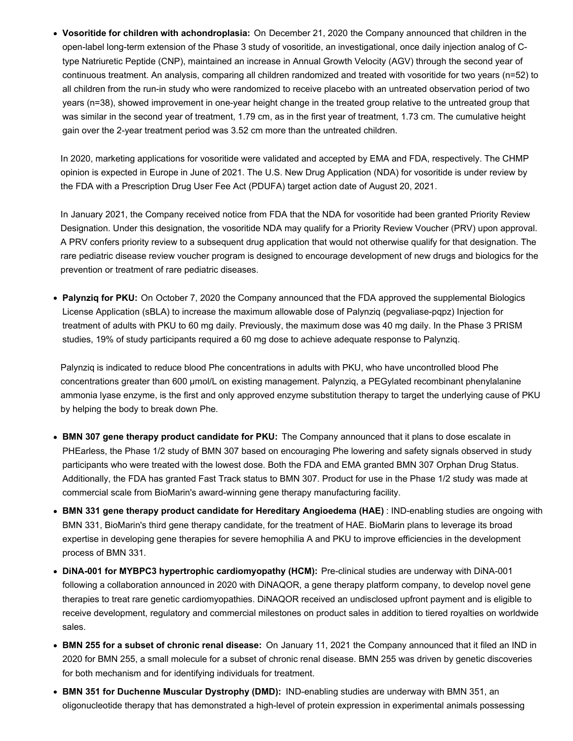**Vosoritide for children with achondroplasia:** On December 21, 2020 the Company announced that children in the open-label long-term extension of the Phase 3 study of vosoritide, an investigational, once daily injection analog of Ctype Natriuretic Peptide (CNP), maintained an increase in Annual Growth Velocity (AGV) through the second year of continuous treatment. An analysis, comparing all children randomized and treated with vosoritide for two years (n=52) to all children from the run-in study who were randomized to receive placebo with an untreated observation period of two years (n=38), showed improvement in one-year height change in the treated group relative to the untreated group that was similar in the second year of treatment, 1.79 cm, as in the first year of treatment, 1.73 cm. The cumulative height gain over the 2-year treatment period was 3.52 cm more than the untreated children.

In 2020, marketing applications for vosoritide were validated and accepted by EMA and FDA, respectively. The CHMP opinion is expected in Europe in June of 2021. The U.S. New Drug Application (NDA) for vosoritide is under review by the FDA with a Prescription Drug User Fee Act (PDUFA) target action date of August 20, 2021.

In January 2021, the Company received notice from FDA that the NDA for vosoritide had been granted Priority Review Designation. Under this designation, the vosoritide NDA may qualify for a Priority Review Voucher (PRV) upon approval. A PRV confers priority review to a subsequent drug application that would not otherwise qualify for that designation. The rare pediatric disease review voucher program is designed to encourage development of new drugs and biologics for the prevention or treatment of rare pediatric diseases.

**Palynziq for PKU:** On October 7, 2020 the Company announced that the FDA approved the supplemental Biologics License Application (sBLA) to increase the maximum allowable dose of Palynziq (pegvaliase-pqpz) Injection for treatment of adults with PKU to 60 mg daily. Previously, the maximum dose was 40 mg daily. In the Phase 3 PRISM studies, 19% of study participants required a 60 mg dose to achieve adequate response to Palynziq.

Palynziq is indicated to reduce blood Phe concentrations in adults with PKU, who have uncontrolled blood Phe concentrations greater than 600 μmol/L on existing management. Palynziq, a PEGylated recombinant phenylalanine ammonia lyase enzyme, is the first and only approved enzyme substitution therapy to target the underlying cause of PKU by helping the body to break down Phe.

- **BMN 307 gene therapy product candidate for PKU:** The Company announced that it plans to dose escalate in PHEarless, the Phase 1/2 study of BMN 307 based on encouraging Phe lowering and safety signals observed in study participants who were treated with the lowest dose. Both the FDA and EMA granted BMN 307 Orphan Drug Status. Additionally, the FDA has granted Fast Track status to BMN 307. Product for use in the Phase 1/2 study was made at commercial scale from BioMarin's award-winning gene therapy manufacturing facility.
- **BMN 331 gene therapy product candidate for Hereditary Angioedema (HAE)** : IND-enabling studies are ongoing with BMN 331, BioMarin's third gene therapy candidate, for the treatment of HAE. BioMarin plans to leverage its broad expertise in developing gene therapies for severe hemophilia A and PKU to improve efficiencies in the development process of BMN 331.
- **DiNA-001 for MYBPC3 hypertrophic cardiomyopathy (HCM):** Pre-clinical studies are underway with DiNA-001 following a collaboration announced in 2020 with DiNAQOR, a gene therapy platform company, to develop novel gene therapies to treat rare genetic cardiomyopathies. DiNAQOR received an undisclosed upfront payment and is eligible to receive development, regulatory and commercial milestones on product sales in addition to tiered royalties on worldwide sales.
- **BMN 255 for a subset of chronic renal disease:** On January 11, 2021 the Company announced that it filed an IND in 2020 for BMN 255, a small molecule for a subset of chronic renal disease. BMN 255 was driven by genetic discoveries for both mechanism and for identifying individuals for treatment.
- **BMN 351 for Duchenne Muscular Dystrophy (DMD):** IND-enabling studies are underway with BMN 351, an oligonucleotide therapy that has demonstrated a high-level of protein expression in experimental animals possessing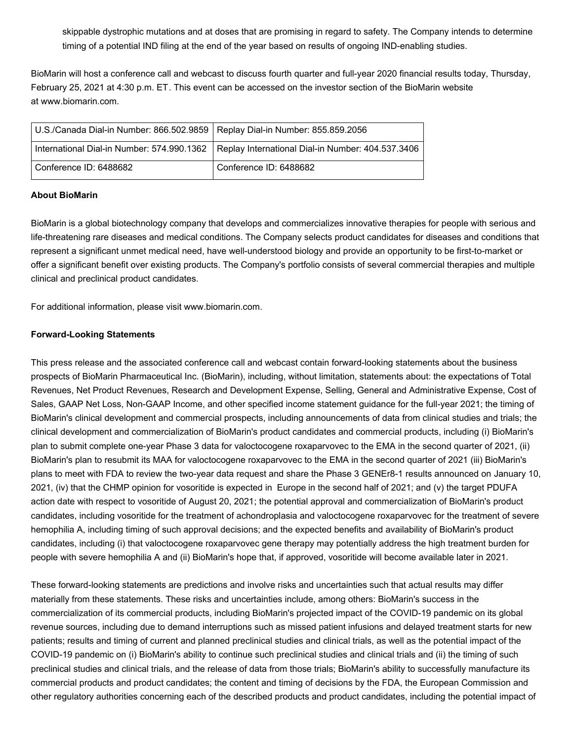skippable dystrophic mutations and at doses that are promising in regard to safety. The Company intends to determine timing of a potential IND filing at the end of the year based on results of ongoing IND-enabling studies.

BioMarin will host a conference call and webcast to discuss fourth quarter and full-year 2020 financial results today, Thursday, February 25, 2021 at 4:30 p.m. ET. This event can be accessed on the investor section of the BioMarin website at www.biomarin.com.

| U.S./Canada Dial-in Number: 866.502.9859   Replay Dial-in Number: 855.859.2056 |                                                                                                |
|--------------------------------------------------------------------------------|------------------------------------------------------------------------------------------------|
|                                                                                | International Dial-in Number: 574.990.1362   Replay International Dial-in Number: 404.537.3406 |
| Conference ID: 6488682                                                         | Conference ID: 6488682                                                                         |

## **About BioMarin**

BioMarin is a global biotechnology company that develops and commercializes innovative therapies for people with serious and life-threatening rare diseases and medical conditions. The Company selects product candidates for diseases and conditions that represent a significant unmet medical need, have well-understood biology and provide an opportunity to be first-to-market or offer a significant benefit over existing products. The Company's portfolio consists of several commercial therapies and multiple clinical and preclinical product candidates.

For additional information, please visit www.biomarin.com.

### **Forward-Looking Statements**

This press release and the associated conference call and webcast contain forward-looking statements about the business prospects of BioMarin Pharmaceutical Inc. (BioMarin), including, without limitation, statements about: the expectations of Total Revenues, Net Product Revenues, Research and Development Expense, Selling, General and Administrative Expense, Cost of Sales, GAAP Net Loss, Non-GAAP Income, and other specified income statement guidance for the full-year 2021; the timing of BioMarin's clinical development and commercial prospects, including announcements of data from clinical studies and trials; the clinical development and commercialization of BioMarin's product candidates and commercial products, including (i) BioMarin's plan to submit complete one-year Phase 3 data for valoctocogene roxaparvovec to the EMA in the second quarter of 2021, (ii) BioMarin's plan to resubmit its MAA for valoctocogene roxaparvovec to the EMA in the second quarter of 2021 (iii) BioMarin's plans to meet with FDA to review the two-year data request and share the Phase 3 GENEr8-1 results announced on January 10, 2021, (iv) that the CHMP opinion for vosoritide is expected in Europe in the second half of 2021; and (v) the target PDUFA action date with respect to vosoritide of August 20, 2021; the potential approval and commercialization of BioMarin's product candidates, including vosoritide for the treatment of achondroplasia and valoctocogene roxaparvovec for the treatment of severe hemophilia A, including timing of such approval decisions; and the expected benefits and availability of BioMarin's product candidates, including (i) that valoctocogene roxaparvovec gene therapy may potentially address the high treatment burden for people with severe hemophilia A and (ii) BioMarin's hope that, if approved, vosoritide will become available later in 2021.

These forward-looking statements are predictions and involve risks and uncertainties such that actual results may differ materially from these statements. These risks and uncertainties include, among others: BioMarin's success in the commercialization of its commercial products, including BioMarin's projected impact of the COVID-19 pandemic on its global revenue sources, including due to demand interruptions such as missed patient infusions and delayed treatment starts for new patients; results and timing of current and planned preclinical studies and clinical trials, as well as the potential impact of the COVID-19 pandemic on (i) BioMarin's ability to continue such preclinical studies and clinical trials and (ii) the timing of such preclinical studies and clinical trials, and the release of data from those trials; BioMarin's ability to successfully manufacture its commercial products and product candidates; the content and timing of decisions by the FDA, the European Commission and other regulatory authorities concerning each of the described products and product candidates, including the potential impact of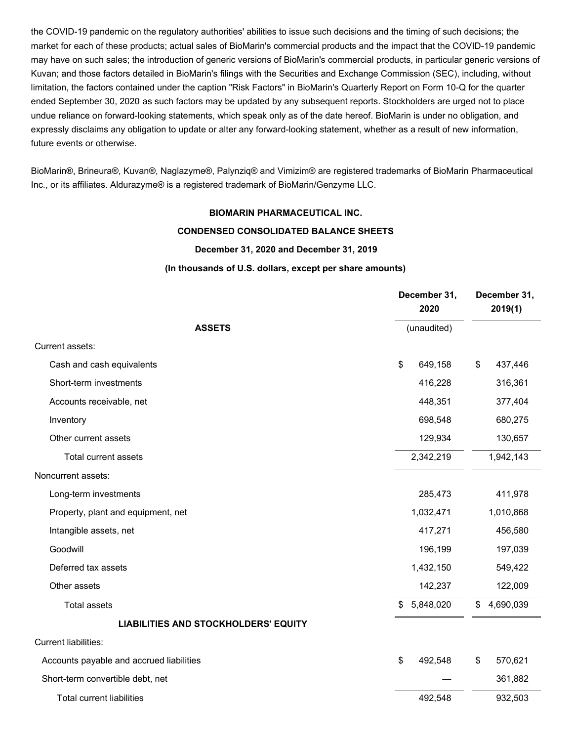the COVID-19 pandemic on the regulatory authorities' abilities to issue such decisions and the timing of such decisions; the market for each of these products; actual sales of BioMarin's commercial products and the impact that the COVID-19 pandemic may have on such sales; the introduction of generic versions of BioMarin's commercial products, in particular generic versions of Kuvan; and those factors detailed in BioMarin's filings with the Securities and Exchange Commission (SEC), including, without limitation, the factors contained under the caption "Risk Factors" in BioMarin's Quarterly Report on Form 10-Q for the quarter ended September 30, 2020 as such factors may be updated by any subsequent reports. Stockholders are urged not to place undue reliance on forward-looking statements, which speak only as of the date hereof. BioMarin is under no obligation, and expressly disclaims any obligation to update or alter any forward-looking statement, whether as a result of new information, future events or otherwise.

BioMarin®, Brineura®, Kuvan®, Naglazyme®, Palynziq® and Vimizim® are registered trademarks of BioMarin Pharmaceutical Inc., or its affiliates. Aldurazyme® is a registered trademark of BioMarin/Genzyme LLC.

### **BIOMARIN PHARMACEUTICAL INC.**

#### **CONDENSED CONSOLIDATED BALANCE SHEETS**

#### **December 31, 2020 and December 31, 2019**

#### **(In thousands of U.S. dollars, except per share amounts)**

|                                             | December 31,<br>2020 | December 31,<br>2019(1) |
|---------------------------------------------|----------------------|-------------------------|
| <b>ASSETS</b>                               | (unaudited)          |                         |
| Current assets:                             |                      |                         |
| Cash and cash equivalents                   | \$<br>649,158        | \$<br>437,446           |
| Short-term investments                      | 416,228              | 316,361                 |
| Accounts receivable, net                    | 448,351              | 377,404                 |
| Inventory                                   | 698,548              | 680,275                 |
| Other current assets                        | 129,934              | 130,657                 |
| Total current assets                        | 2,342,219            | 1,942,143               |
| Noncurrent assets:                          |                      |                         |
| Long-term investments                       | 285,473              | 411,978                 |
| Property, plant and equipment, net          | 1,032,471            | 1,010,868               |
| Intangible assets, net                      | 417,271              | 456,580                 |
| Goodwill                                    | 196,199              | 197,039                 |
| Deferred tax assets                         | 1,432,150            | 549,422                 |
| Other assets                                | 142,237              | 122,009                 |
| <b>Total assets</b>                         | 5,848,020<br>S       | 4,690,039<br>\$         |
| <b>LIABILITIES AND STOCKHOLDERS' EQUITY</b> |                      |                         |
| <b>Current liabilities:</b>                 |                      |                         |
| Accounts payable and accrued liabilities    | \$<br>492,548        | \$<br>570,621           |
| Short-term convertible debt, net            |                      | 361,882                 |
| <b>Total current liabilities</b>            | 492,548              | 932,503                 |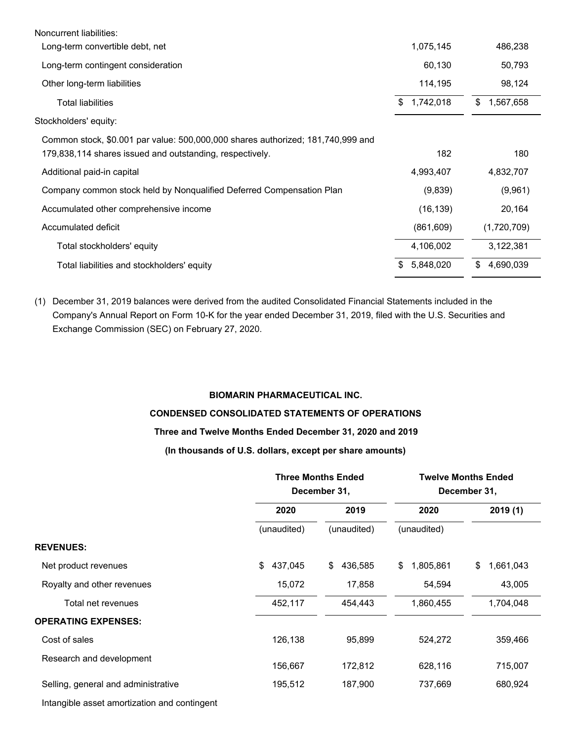| Noncurrent liabilities:                                                         |                |                 |
|---------------------------------------------------------------------------------|----------------|-----------------|
| Long-term convertible debt, net                                                 | 1,075,145      | 486,238         |
| Long-term contingent consideration                                              | 60,130         | 50,793          |
| Other long-term liabilities                                                     | 114,195        | 98,124          |
| Total liabilities                                                               | 1,742,018<br>S | \$<br>1,567,658 |
| Stockholders' equity:                                                           |                |                 |
| Common stock, \$0.001 par value: 500,000,000 shares authorized; 181,740,999 and |                |                 |
| 179,838,114 shares issued and outstanding, respectively.                        | 182            | 180             |
| Additional paid-in capital                                                      | 4,993,407      | 4,832,707       |
| Company common stock held by Nonqualified Deferred Compensation Plan            | (9,839)        | (9,961)         |
| Accumulated other comprehensive income                                          | (16, 139)      | 20,164          |
| Accumulated deficit                                                             | (861, 609)     | (1,720,709)     |
| Total stockholders' equity                                                      | 4,106,002      | 3,122,381       |
| Total liabilities and stockholders' equity                                      | 5,848,020<br>S | \$<br>4,690,039 |

(1) December 31, 2019 balances were derived from the audited Consolidated Financial Statements included in the Company's Annual Report on Form 10-K for the year ended December 31, 2019, filed with the U.S. Securities and Exchange Commission (SEC) on February 27, 2020.

#### **BIOMARIN PHARMACEUTICAL INC.**

## **CONDENSED CONSOLIDATED STATEMENTS OF OPERATIONS**

## **Three and Twelve Months Ended December 31, 2020 and 2019**

## **(In thousands of U.S. dollars, except per share amounts)**

|                                              |               | <b>Three Months Ended</b> |                 | <b>Twelve Months Ended</b> |  |  |
|----------------------------------------------|---------------|---------------------------|-----------------|----------------------------|--|--|
|                                              |               | December 31,              | December 31,    |                            |  |  |
|                                              | 2020          | 2019                      | 2020            | 2019(1)                    |  |  |
|                                              | (unaudited)   | (unaudited)               | (unaudited)     |                            |  |  |
| <b>REVENUES:</b>                             |               |                           |                 |                            |  |  |
| Net product revenues                         | \$<br>437,045 | \$<br>436,585             | 1,805,861<br>\$ | 1,661,043<br>\$            |  |  |
| Royalty and other revenues                   | 15,072        | 17,858                    | 54,594          | 43,005                     |  |  |
| Total net revenues                           | 452,117       | 454,443                   | 1,860,455       | 1,704,048                  |  |  |
| <b>OPERATING EXPENSES:</b>                   |               |                           |                 |                            |  |  |
| Cost of sales                                | 126,138       | 95,899                    | 524,272         | 359,466                    |  |  |
| Research and development                     | 156,667       | 172,812                   | 628,116         | 715,007                    |  |  |
| Selling, general and administrative          | 195,512       | 187,900                   | 737,669         | 680,924                    |  |  |
| Intangible asset amortization and contingent |               |                           |                 |                            |  |  |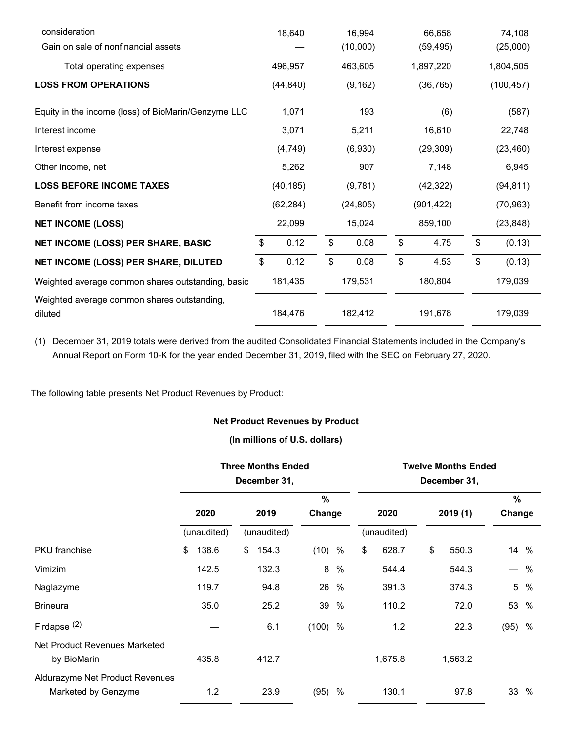| consideration                                          |           | 18,640    |                      | 16,994   |            | 66,658    |    | 74,108     |
|--------------------------------------------------------|-----------|-----------|----------------------|----------|------------|-----------|----|------------|
| Gain on sale of nonfinancial assets                    |           | (10,000)  |                      |          | (59, 495)  |           |    | (25,000)   |
| Total operating expenses                               |           | 496,957   |                      | 463,605  |            | 1,897,220 |    | 1,804,505  |
| <b>LOSS FROM OPERATIONS</b>                            |           | (44, 840) |                      | (9, 162) |            | (36, 765) |    | (100, 457) |
| Equity in the income (loss) of BioMarin/Genzyme LLC    |           | 1,071     |                      | 193      |            | (6)       |    | (587)      |
| Interest income                                        |           | 3,071     |                      | 5,211    |            | 16,610    |    | 22,748     |
| Interest expense                                       |           | (4,749)   | (6,930)<br>(29, 309) |          |            |           |    | (23, 460)  |
| Other income, net                                      |           | 5,262     |                      | 907      |            | 7,148     |    | 6,945      |
| <b>LOSS BEFORE INCOME TAXES</b>                        |           | (40, 185) |                      | (9,781)  |            | (42, 322) |    | (94, 811)  |
| Benefit from income taxes                              | (62, 284) |           | (24, 805)            |          | (901, 422) |           |    | (70, 963)  |
| <b>NET INCOME (LOSS)</b>                               |           | 22,099    |                      | 15,024   |            | 859,100   |    | (23, 848)  |
| <b>NET INCOME (LOSS) PER SHARE, BASIC</b>              | \$        | 0.12      | \$                   | 0.08     | \$         | 4.75      | \$ | (0.13)     |
| NET INCOME (LOSS) PER SHARE, DILUTED                   | \$        | 0.12      | \$                   | 0.08     | \$         | 4.53      | \$ | (0.13)     |
| Weighted average common shares outstanding, basic      |           | 181,435   |                      | 179,531  |            | 180,804   |    | 179,039    |
| Weighted average common shares outstanding,<br>diluted |           | 184,476   |                      | 182,412  |            | 191,678   |    | 179,039    |

(1) December 31, 2019 totals were derived from the audited Consolidated Financial Statements included in the Company's Annual Report on Form 10-K for the year ended December 31, 2019, filed with the SEC on February 27, 2020.

The following table presents Net Product Revenues by Product:

### **Net Product Revenues by Product**

## **(In millions of U.S. dollars)**

|                                                        | <b>Three Months Ended</b><br>December 31, |             |      |             |                         |      |      | <b>Twelve Months Ended</b><br>December 31, |         |         |                          |   |  |
|--------------------------------------------------------|-------------------------------------------|-------------|------|-------------|-------------------------|------|------|--------------------------------------------|---------|---------|--------------------------|---|--|
|                                                        | 2020                                      |             | 2019 |             | $\frac{0}{0}$<br>Change |      | 2020 |                                            | 2019(1) |         | %<br>Change              |   |  |
|                                                        |                                           | (unaudited) |      | (unaudited) |                         |      |      | (unaudited)                                |         |         |                          |   |  |
| <b>PKU</b> franchise                                   | \$                                        | 138.6       | \$   | 154.3       | (10)                    | %    | \$   | 628.7                                      | \$      | 550.3   | 14 %                     |   |  |
| Vimizim                                                |                                           | 142.5       |      | 132.3       | 8                       | $\%$ |      | 544.4                                      |         | 544.3   | $\overline{\phantom{0}}$ | % |  |
| Naglazyme                                              |                                           | 119.7       |      | 94.8        | 26                      | $\%$ |      | 391.3                                      |         | 374.3   | 5                        | % |  |
| <b>Brineura</b>                                        |                                           | 35.0        |      | 25.2        | 39                      | $\%$ |      | 110.2                                      |         | 72.0    | 53 %                     |   |  |
| Firdapse $(2)$                                         |                                           |             |      | 6.1         | $(100)$ %               |      |      | 1.2                                        |         | 22.3    | $(95)$ %                 |   |  |
| Net Product Revenues Marketed<br>by BioMarin           |                                           | 435.8       |      | 412.7       |                         |      |      | 1,675.8                                    |         | 1,563.2 |                          |   |  |
| Aldurazyme Net Product Revenues<br>Marketed by Genzyme |                                           | 1.2         |      | 23.9        | (95)                    | $\%$ |      | 130.1                                      |         | 97.8    | 33                       | % |  |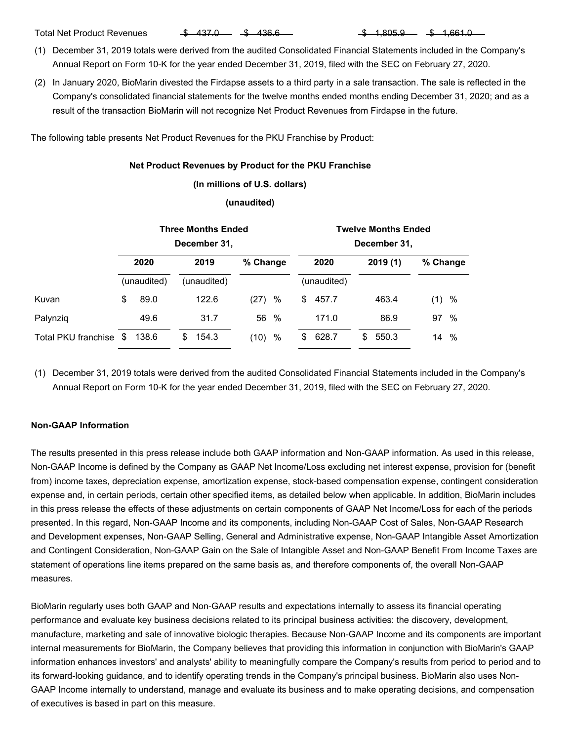- (1) December 31, 2019 totals were derived from the audited Consolidated Financial Statements included in the Company's Annual Report on Form 10-K for the year ended December 31, 2019, filed with the SEC on February 27, 2020.
- (2) In January 2020, BioMarin divested the Firdapse assets to a third party in a sale transaction. The sale is reflected in the Company's consolidated financial statements for the twelve months ended months ending December 31, 2020; and as a result of the transaction BioMarin will not recognize Net Product Revenues from Firdapse in the future.

The following table presents Net Product Revenues for the PKU Franchise by Product:

## **Net Product Revenues by Product for the PKU Franchise**

## **(In millions of U.S. dollars)**

**(unaudited)**

|                     | <b>Three Months Ended</b><br>December 31, |             |   |             |          |      | <b>Twelve Months Ended</b><br>December 31, |             |    |         |          |      |  |
|---------------------|-------------------------------------------|-------------|---|-------------|----------|------|--------------------------------------------|-------------|----|---------|----------|------|--|
|                     |                                           | 2020        |   | 2019        | % Change |      |                                            | 2020        |    | 2019(1) | % Change |      |  |
|                     |                                           | (unaudited) |   | (unaudited) |          |      |                                            | (unaudited) |    |         |          |      |  |
| Kuvan               | \$                                        | 89.0        |   | 122.6       | (27)     | $\%$ | \$                                         | 457.7       |    | 463.4   | (1)      | $\%$ |  |
| Palynzig            |                                           | 49.6        |   | 31.7        | 56       | %    |                                            | 171.0       |    | 86.9    | 97       | %    |  |
| Total PKU franchise | S                                         | 138.6       | S | 154.3       | (10)     | %    | \$                                         | 628.7       | \$ | 550.3   | 14       | %    |  |

(1) December 31, 2019 totals were derived from the audited Consolidated Financial Statements included in the Company's Annual Report on Form 10-K for the year ended December 31, 2019, filed with the SEC on February 27, 2020.

## **Non-GAAP Information**

The results presented in this press release include both GAAP information and Non-GAAP information. As used in this release, Non-GAAP Income is defined by the Company as GAAP Net Income/Loss excluding net interest expense, provision for (benefit from) income taxes, depreciation expense, amortization expense, stock-based compensation expense, contingent consideration expense and, in certain periods, certain other specified items, as detailed below when applicable. In addition, BioMarin includes in this press release the effects of these adjustments on certain components of GAAP Net Income/Loss for each of the periods presented. In this regard, Non-GAAP Income and its components, including Non-GAAP Cost of Sales, Non-GAAP Research and Development expenses, Non-GAAP Selling, General and Administrative expense, Non-GAAP Intangible Asset Amortization and Contingent Consideration, Non-GAAP Gain on the Sale of Intangible Asset and Non-GAAP Benefit From Income Taxes are statement of operations line items prepared on the same basis as, and therefore components of, the overall Non-GAAP measures.

BioMarin regularly uses both GAAP and Non-GAAP results and expectations internally to assess its financial operating performance and evaluate key business decisions related to its principal business activities: the discovery, development, manufacture, marketing and sale of innovative biologic therapies. Because Non-GAAP Income and its components are important internal measurements for BioMarin, the Company believes that providing this information in conjunction with BioMarin's GAAP information enhances investors' and analysts' ability to meaningfully compare the Company's results from period to period and to its forward-looking guidance, and to identify operating trends in the Company's principal business. BioMarin also uses Non-GAAP Income internally to understand, manage and evaluate its business and to make operating decisions, and compensation of executives is based in part on this measure.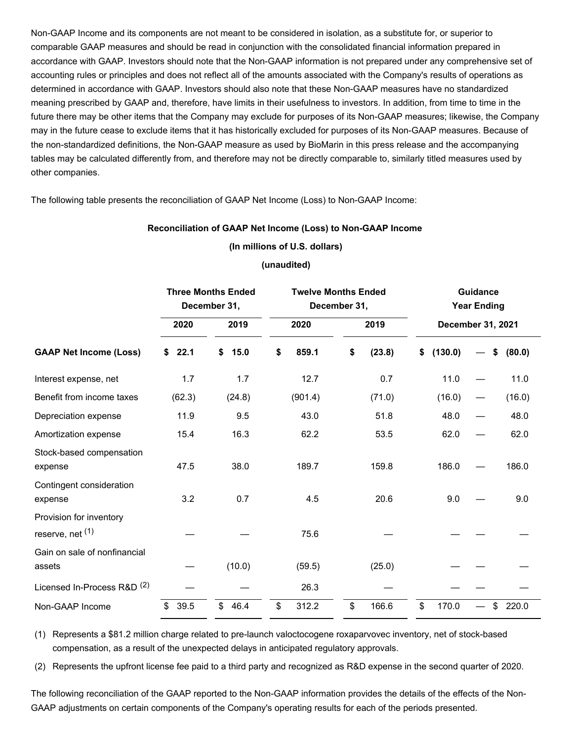Non-GAAP Income and its components are not meant to be considered in isolation, as a substitute for, or superior to comparable GAAP measures and should be read in conjunction with the consolidated financial information prepared in accordance with GAAP. Investors should note that the Non-GAAP information is not prepared under any comprehensive set of accounting rules or principles and does not reflect all of the amounts associated with the Company's results of operations as determined in accordance with GAAP. Investors should also note that these Non-GAAP measures have no standardized meaning prescribed by GAAP and, therefore, have limits in their usefulness to investors. In addition, from time to time in the future there may be other items that the Company may exclude for purposes of its Non-GAAP measures; likewise, the Company may in the future cease to exclude items that it has historically excluded for purposes of its Non-GAAP measures. Because of the non-standardized definitions, the Non-GAAP measure as used by BioMarin in this press release and the accompanying tables may be calculated differently from, and therefore may not be directly comparable to, similarly titled measures used by other companies.

The following table presents the reconciliation of GAAP Net Income (Loss) to Non-GAAP Income:

## **Reconciliation of GAAP Net Income (Loss) to Non-GAAP Income**

**(In millions of U.S. dollars)**

### **(unaudited)**

|                                             |            | <b>Three Months Ended</b><br>December 31, |             | <b>Twelve Months Ended</b><br>December 31, | <b>Guidance</b><br><b>Year Ending</b><br>December 31, 2021 |  |  |  |  |
|---------------------------------------------|------------|-------------------------------------------|-------------|--------------------------------------------|------------------------------------------------------------|--|--|--|--|
|                                             | 2020       | 2019                                      | 2020        | 2019                                       |                                                            |  |  |  |  |
| <b>GAAP Net Income (Loss)</b>               | 22.1<br>\$ | 15.0<br>\$                                | \$<br>859.1 | \$<br>(23.8)                               | (130.0)<br>\$<br>\$<br>(80.0)                              |  |  |  |  |
| Interest expense, net                       | 1.7        | 1.7                                       | 12.7        | 0.7                                        | 11.0<br>11.0                                               |  |  |  |  |
| Benefit from income taxes                   | (62.3)     | (24.8)                                    | (901.4)     | (71.0)                                     | (16.0)<br>(16.0)<br>$\hspace{0.1mm}-\hspace{0.1mm}$        |  |  |  |  |
| Depreciation expense                        | 11.9       | 9.5                                       | 43.0        | 51.8                                       | 48.0<br>48.0                                               |  |  |  |  |
| Amortization expense                        | 15.4       | 16.3                                      | 62.2        | 53.5                                       | 62.0<br>62.0                                               |  |  |  |  |
| Stock-based compensation<br>expense         | 47.5       | 38.0                                      | 189.7       | 159.8                                      | 186.0<br>186.0                                             |  |  |  |  |
| Contingent consideration<br>expense         | 3.2        | 0.7                                       | 4.5         | 20.6                                       | 9.0<br>9.0                                                 |  |  |  |  |
| Provision for inventory<br>reserve, net (1) |            |                                           | 75.6        |                                            |                                                            |  |  |  |  |
| Gain on sale of nonfinancial<br>assets      |            | (10.0)                                    | (59.5)      | (25.0)                                     |                                                            |  |  |  |  |
| Licensed In-Process R&D <sup>(2)</sup>      |            |                                           | 26.3        |                                            |                                                            |  |  |  |  |
| Non-GAAP Income                             | \$<br>39.5 | \$<br>46.4                                | \$<br>312.2 | \$<br>166.6                                | \$<br>170.0<br>220.0<br>\$                                 |  |  |  |  |

(1) Represents a \$81.2 million charge related to pre-launch valoctocogene roxaparvovec inventory, net of stock-based compensation, as a result of the unexpected delays in anticipated regulatory approvals.

(2) Represents the upfront license fee paid to a third party and recognized as R&D expense in the second quarter of 2020.

The following reconciliation of the GAAP reported to the Non-GAAP information provides the details of the effects of the Non-GAAP adjustments on certain components of the Company's operating results for each of the periods presented.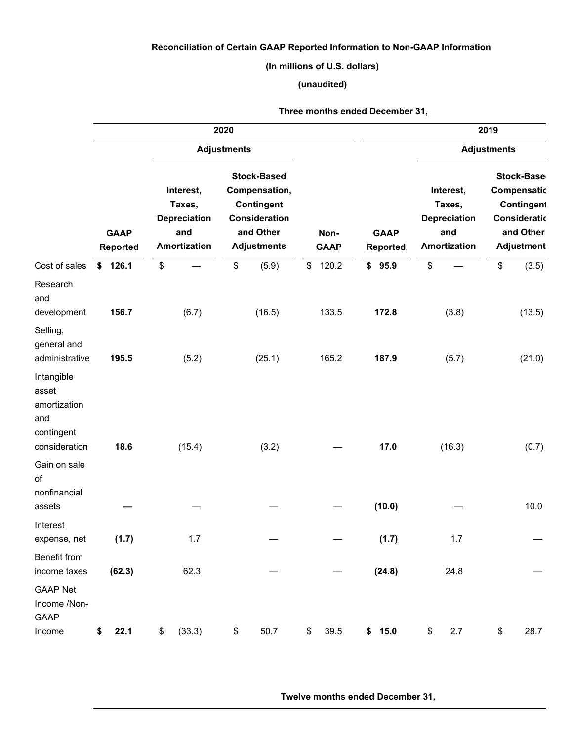## **Reconciliation of Certain GAAP Reported Information to Non-GAAP Information**

# **(In millions of U.S. dollars)**

# **(unaudited)**

|                                                                           |                                | 2020    |                                                                   |        |                                                                                                              |        |                                  |                                | 2019                                                              |        |                                                                                                  |        |
|---------------------------------------------------------------------------|--------------------------------|---------|-------------------------------------------------------------------|--------|--------------------------------------------------------------------------------------------------------------|--------|----------------------------------|--------------------------------|-------------------------------------------------------------------|--------|--------------------------------------------------------------------------------------------------|--------|
|                                                                           |                                |         | <b>Adjustments</b>                                                |        |                                                                                                              |        | Non-<br><b>GAAP</b>              | <b>GAAP</b><br><b>Reported</b> | <b>Adjustments</b>                                                |        |                                                                                                  |        |
|                                                                           | <b>GAAP</b><br><b>Reported</b> |         | Interest,<br>Taxes,<br><b>Depreciation</b><br>and<br>Amortization |        | <b>Stock-Based</b><br>Compensation,<br>Contingent<br><b>Consideration</b><br>and Other<br><b>Adjustments</b> |        |                                  |                                | Interest,<br>Taxes,<br><b>Depreciation</b><br>and<br>Amortization |        | Stock-Base<br>Compensatic<br>Contingent<br><b>Consideratio</b><br>and Other<br><b>Adjustment</b> |        |
| Cost of sales                                                             |                                | \$126.1 | \$                                                                |        | $\boldsymbol{\mathsf{S}}$                                                                                    | (5.9)  | $\sqrt[6]{\frac{1}{2}}$<br>120.2 | \$<br>95.9                     | \$                                                                |        | \$                                                                                               | (3.5)  |
| Research<br>and<br>development                                            |                                | 156.7   |                                                                   | (6.7)  |                                                                                                              | (16.5) | 133.5                            | 172.8                          |                                                                   | (3.8)  |                                                                                                  | (13.5) |
| Selling,<br>general and<br>administrative                                 |                                | 195.5   |                                                                   | (5.2)  |                                                                                                              | (25.1) | 165.2                            | 187.9                          |                                                                   | (5.7)  |                                                                                                  | (21.0) |
| Intangible<br>asset<br>amortization<br>and<br>contingent<br>consideration |                                | 18.6    |                                                                   | (15.4) |                                                                                                              | (3.2)  |                                  | 17.0                           |                                                                   | (16.3) |                                                                                                  | (0.7)  |
| Gain on sale<br>of<br>nonfinancial                                        |                                |         |                                                                   |        |                                                                                                              |        |                                  |                                |                                                                   |        |                                                                                                  | 10.0   |
| assets                                                                    |                                |         |                                                                   |        |                                                                                                              |        |                                  | (10.0)                         |                                                                   |        |                                                                                                  |        |
| Interest<br>expense, net                                                  |                                | (1.7)   |                                                                   | 1.7    |                                                                                                              |        |                                  | (1.7)                          |                                                                   | 1.7    |                                                                                                  |        |
| Benefit from<br>income taxes                                              |                                | (62.3)  |                                                                   | 62.3   |                                                                                                              |        |                                  | (24.8)                         |                                                                   | 24.8   |                                                                                                  |        |
| <b>GAAP Net</b><br>Income /Non-<br>GAAP                                   |                                |         |                                                                   |        |                                                                                                              |        |                                  |                                |                                                                   |        |                                                                                                  |        |
| Income                                                                    | \$                             | 22.1    | \$                                                                | (33.3) | \$                                                                                                           | 50.7   | 39.5<br>\$                       | \$ 15.0                        | \$                                                                | 2.7    | \$                                                                                               | 28.7   |

## **Three months ended December 31,**

**Twelve months ended December 31,**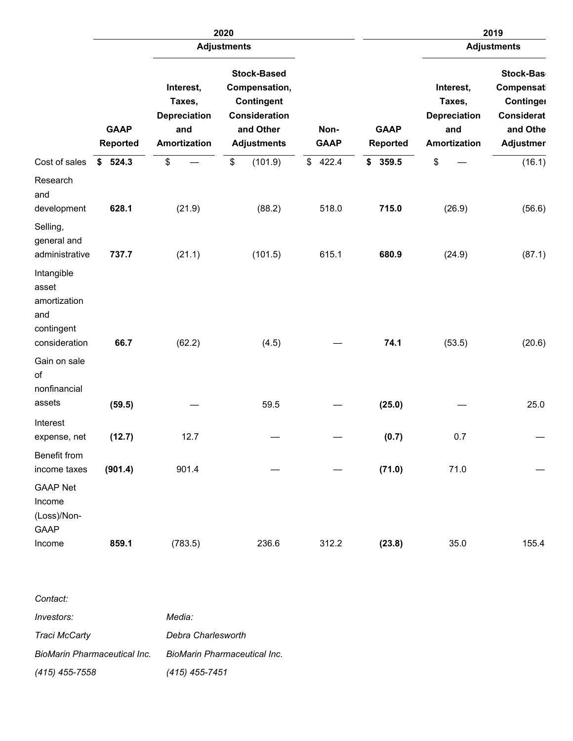|                                                                             |                                |                                                                          | 2020                                                                                                  |                         |                                | 2019<br><b>Adjustments</b>                                               |                                                                                           |  |
|-----------------------------------------------------------------------------|--------------------------------|--------------------------------------------------------------------------|-------------------------------------------------------------------------------------------------------|-------------------------|--------------------------------|--------------------------------------------------------------------------|-------------------------------------------------------------------------------------------|--|
|                                                                             |                                |                                                                          | <b>Adjustments</b>                                                                                    |                         |                                |                                                                          |                                                                                           |  |
|                                                                             | <b>GAAP</b><br><b>Reported</b> | Interest,<br>Taxes,<br><b>Depreciation</b><br>and<br><b>Amortization</b> | <b>Stock-Based</b><br>Compensation,<br>Contingent<br>Consideration<br>and Other<br><b>Adjustments</b> | Non-<br><b>GAAP</b>     | <b>GAAP</b><br><b>Reported</b> | Interest,<br>Taxes,<br><b>Depreciation</b><br>and<br><b>Amortization</b> | Stock-Bas<br>Compensati<br>Continger<br><b>Considerat</b><br>and Othe<br><b>Adjustmen</b> |  |
| Cost of sales                                                               | \$524.3                        | \$                                                                       | \$<br>(101.9)                                                                                         | $\mathfrak{S}$<br>422.4 | \$359.5                        | \$                                                                       | (16.1)                                                                                    |  |
| Research<br>and<br>development<br>Selling,<br>general and<br>administrative | 628.1<br>737.7                 | (21.9)<br>(21.1)                                                         | (88.2)<br>(101.5)                                                                                     | 518.0<br>615.1          | 715.0<br>680.9                 | (26.9)<br>(24.9)                                                         | (56.6)<br>(87.1)                                                                          |  |
| Intangible<br>asset<br>amortization<br>and<br>contingent<br>consideration   | 66.7                           | (62.2)                                                                   | (4.5)                                                                                                 |                         | 74.1                           | (53.5)                                                                   | (20.6)                                                                                    |  |
| Gain on sale<br>of<br>nonfinancial<br>assets                                | (59.5)                         |                                                                          | 59.5                                                                                                  |                         | (25.0)                         |                                                                          | 25.0                                                                                      |  |
| Interest                                                                    |                                |                                                                          |                                                                                                       |                         |                                |                                                                          |                                                                                           |  |
| expense, net                                                                | (12.7)                         | 12.7                                                                     |                                                                                                       |                         | (0.7)                          | 0.7                                                                      |                                                                                           |  |
| Benefit from<br>income taxes                                                | (901.4)                        | 901.4                                                                    |                                                                                                       |                         | (71.0)                         | 71.0                                                                     |                                                                                           |  |
| <b>GAAP Net</b><br>Income<br>(Loss)/Non-<br><b>GAAP</b><br>Income           | 859.1                          | (783.5)                                                                  | 236.6                                                                                                 | 312.2                   | (23.8)                         | 35.0                                                                     | 155.4                                                                                     |  |
|                                                                             |                                |                                                                          |                                                                                                       |                         |                                |                                                                          |                                                                                           |  |

### *Contact:*

| <i>Investors:</i>                   | Media:                              |
|-------------------------------------|-------------------------------------|
| Traci McCarty                       | Debra Charlesworth                  |
| <b>BioMarin Pharmaceutical Inc.</b> | <b>BioMarin Pharmaceutical Inc.</b> |
| (415) 455-7558                      | (415) 455-7451                      |